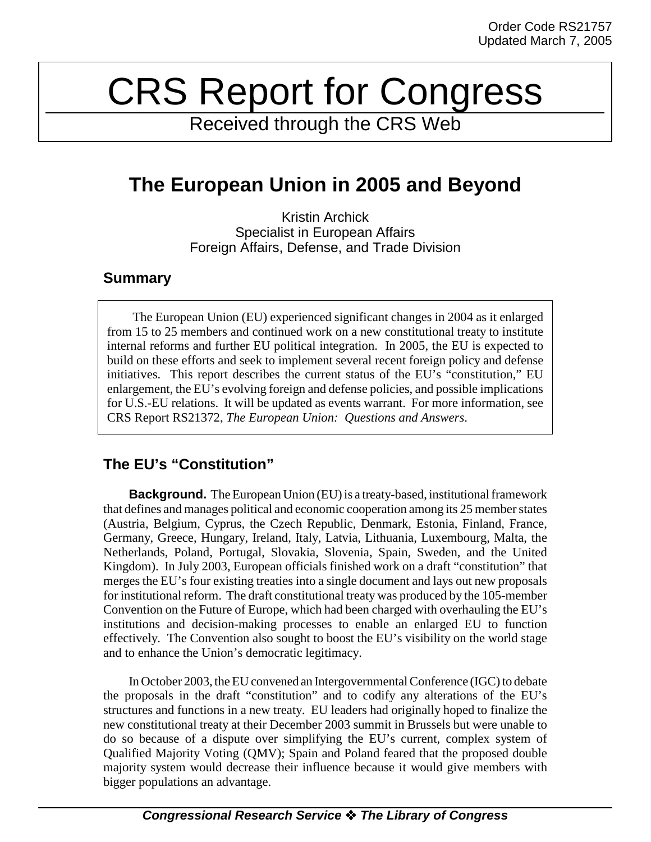# CRS Report for Congress

Received through the CRS Web

# **The European Union in 2005 and Beyond**

Kristin Archick Specialist in European Affairs Foreign Affairs, Defense, and Trade Division

### **Summary**

The European Union (EU) experienced significant changes in 2004 as it enlarged from 15 to 25 members and continued work on a new constitutional treaty to institute internal reforms and further EU political integration. In 2005, the EU is expected to build on these efforts and seek to implement several recent foreign policy and defense initiatives. This report describes the current status of the EU's "constitution," EU enlargement, the EU's evolving foreign and defense policies, and possible implications for U.S.-EU relations. It will be updated as events warrant. For more information, see CRS Report RS21372, *The European Union: Questions and Answers*.

## **The EU's "Constitution"**

**Background.** The European Union (EU) is a treaty-based, institutional framework that defines and manages political and economic cooperation among its 25 member states (Austria, Belgium, Cyprus, the Czech Republic, Denmark, Estonia, Finland, France, Germany, Greece, Hungary, Ireland, Italy, Latvia, Lithuania, Luxembourg, Malta, the Netherlands, Poland, Portugal, Slovakia, Slovenia, Spain, Sweden, and the United Kingdom). In July 2003, European officials finished work on a draft "constitution" that merges the EU's four existing treaties into a single document and lays out new proposals for institutional reform. The draft constitutional treaty was produced by the 105-member Convention on the Future of Europe, which had been charged with overhauling the EU's institutions and decision-making processes to enable an enlarged EU to function effectively. The Convention also sought to boost the EU's visibility on the world stage and to enhance the Union's democratic legitimacy.

In October 2003, the EU convened an Intergovernmental Conference (IGC) to debate the proposals in the draft "constitution" and to codify any alterations of the EU's structures and functions in a new treaty. EU leaders had originally hoped to finalize the new constitutional treaty at their December 2003 summit in Brussels but were unable to do so because of a dispute over simplifying the EU's current, complex system of Qualified Majority Voting (QMV); Spain and Poland feared that the proposed double majority system would decrease their influence because it would give members with bigger populations an advantage.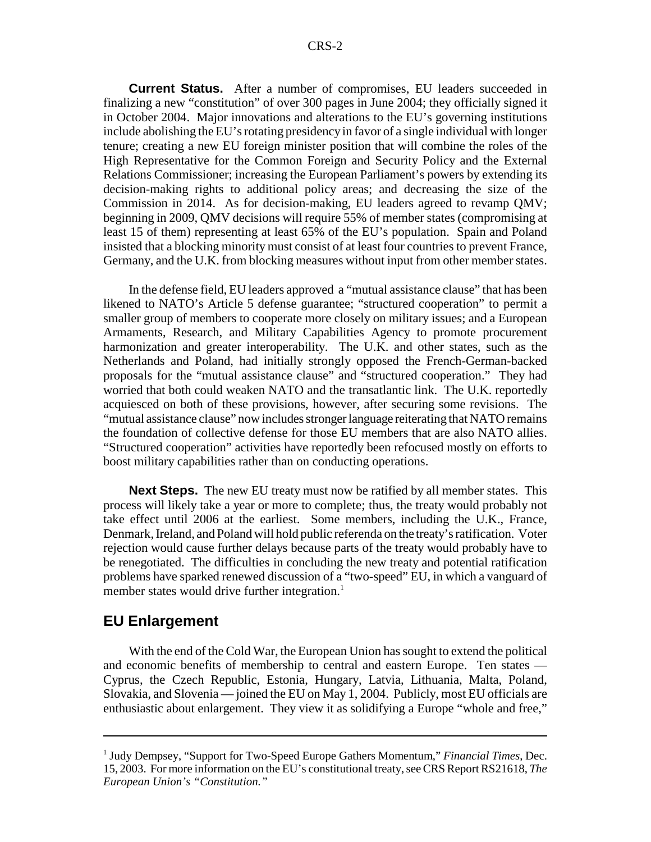**Current Status.** After a number of compromises, EU leaders succeeded in finalizing a new "constitution" of over 300 pages in June 2004; they officially signed it in October 2004. Major innovations and alterations to the EU's governing institutions include abolishing the EU's rotating presidency in favor of a single individual with longer tenure; creating a new EU foreign minister position that will combine the roles of the High Representative for the Common Foreign and Security Policy and the External Relations Commissioner; increasing the European Parliament's powers by extending its decision-making rights to additional policy areas; and decreasing the size of the Commission in 2014. As for decision-making, EU leaders agreed to revamp QMV; beginning in 2009, QMV decisions will require 55% of member states (compromising at least 15 of them) representing at least 65% of the EU's population. Spain and Poland insisted that a blocking minority must consist of at least four countries to prevent France, Germany, and the U.K. from blocking measures without input from other member states.

In the defense field, EU leaders approved a "mutual assistance clause" that has been likened to NATO's Article 5 defense guarantee; "structured cooperation" to permit a smaller group of members to cooperate more closely on military issues; and a European Armaments, Research, and Military Capabilities Agency to promote procurement harmonization and greater interoperability. The U.K. and other states, such as the Netherlands and Poland, had initially strongly opposed the French-German-backed proposals for the "mutual assistance clause" and "structured cooperation." They had worried that both could weaken NATO and the transatlantic link. The U.K. reportedly acquiesced on both of these provisions, however, after securing some revisions. The "mutual assistance clause" now includes stronger language reiterating that NATO remains the foundation of collective defense for those EU members that are also NATO allies. "Structured cooperation" activities have reportedly been refocused mostly on efforts to boost military capabilities rather than on conducting operations.

**Next Steps.** The new EU treaty must now be ratified by all member states. This process will likely take a year or more to complete; thus, the treaty would probably not take effect until 2006 at the earliest. Some members, including the U.K., France, Denmark, Ireland, and Poland will hold public referenda on the treaty's ratification. Voter rejection would cause further delays because parts of the treaty would probably have to be renegotiated. The difficulties in concluding the new treaty and potential ratification problems have sparked renewed discussion of a "two-speed" EU, in which a vanguard of member states would drive further integration.<sup>1</sup>

#### **EU Enlargement**

With the end of the Cold War, the European Union has sought to extend the political and economic benefits of membership to central and eastern Europe. Ten states — Cyprus, the Czech Republic, Estonia, Hungary, Latvia, Lithuania, Malta, Poland, Slovakia, and Slovenia — joined the EU on May 1, 2004. Publicly, most EU officials are enthusiastic about enlargement. They view it as solidifying a Europe "whole and free,"

<sup>&</sup>lt;sup>1</sup> Judy Dempsey, "Support for Two-Speed Europe Gathers Momentum," Financial Times, Dec. 15, 2003. For more information on the EU's constitutional treaty, see CRS Report RS21618, *The European Union's "Constitution."*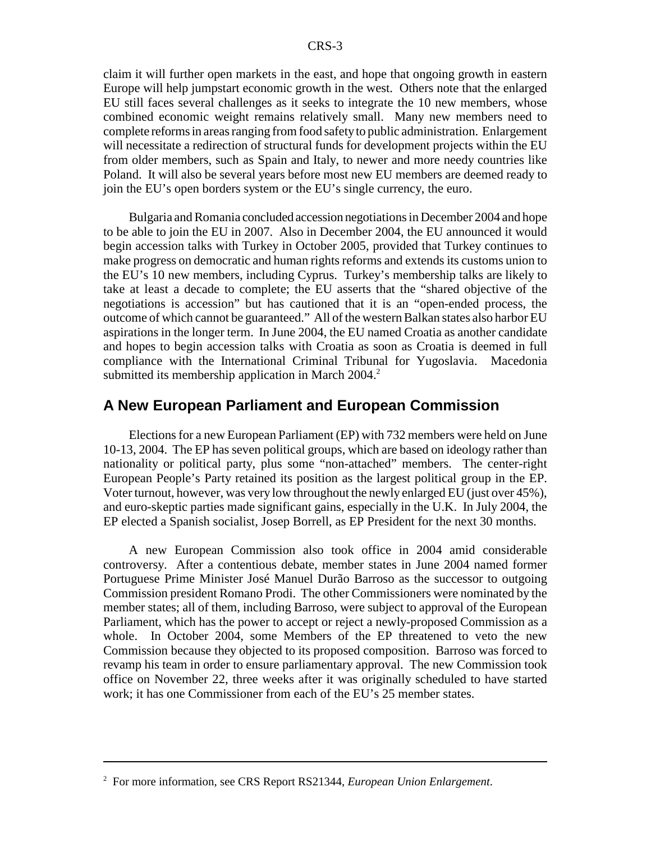claim it will further open markets in the east, and hope that ongoing growth in eastern Europe will help jumpstart economic growth in the west. Others note that the enlarged EU still faces several challenges as it seeks to integrate the 10 new members, whose combined economic weight remains relatively small. Many new members need to complete reforms in areas ranging from food safety to public administration. Enlargement will necessitate a redirection of structural funds for development projects within the EU from older members, such as Spain and Italy, to newer and more needy countries like Poland. It will also be several years before most new EU members are deemed ready to join the EU's open borders system or the EU's single currency, the euro.

Bulgaria and Romania concluded accession negotiations in December 2004 and hope to be able to join the EU in 2007. Also in December 2004, the EU announced it would begin accession talks with Turkey in October 2005, provided that Turkey continues to make progress on democratic and human rights reforms and extends its customs union to the EU's 10 new members, including Cyprus. Turkey's membership talks are likely to take at least a decade to complete; the EU asserts that the "shared objective of the negotiations is accession" but has cautioned that it is an "open-ended process, the outcome of which cannot be guaranteed." All of the western Balkan states also harbor EU aspirations in the longer term. In June 2004, the EU named Croatia as another candidate and hopes to begin accession talks with Croatia as soon as Croatia is deemed in full compliance with the International Criminal Tribunal for Yugoslavia. Macedonia submitted its membership application in March  $2004<sup>2</sup>$ .

#### **A New European Parliament and European Commission**

Elections for a new European Parliament (EP) with 732 members were held on June 10-13, 2004. The EP has seven political groups, which are based on ideology rather than nationality or political party, plus some "non-attached" members. The center-right European People's Party retained its position as the largest political group in the EP. Voter turnout, however, was very low throughout the newly enlarged EU (just over 45%), and euro-skeptic parties made significant gains, especially in the U.K. In July 2004, the EP elected a Spanish socialist, Josep Borrell, as EP President for the next 30 months.

A new European Commission also took office in 2004 amid considerable controversy. After a contentious debate, member states in June 2004 named former Portuguese Prime Minister José Manuel Durão Barroso as the successor to outgoing Commission president Romano Prodi. The other Commissioners were nominated by the member states; all of them, including Barroso, were subject to approval of the European Parliament, which has the power to accept or reject a newly-proposed Commission as a whole. In October 2004, some Members of the EP threatened to veto the new Commission because they objected to its proposed composition. Barroso was forced to revamp his team in order to ensure parliamentary approval. The new Commission took office on November 22, three weeks after it was originally scheduled to have started work; it has one Commissioner from each of the EU's 25 member states.

<sup>2</sup> For more information, see CRS Report RS21344, *European Union Enlargement*.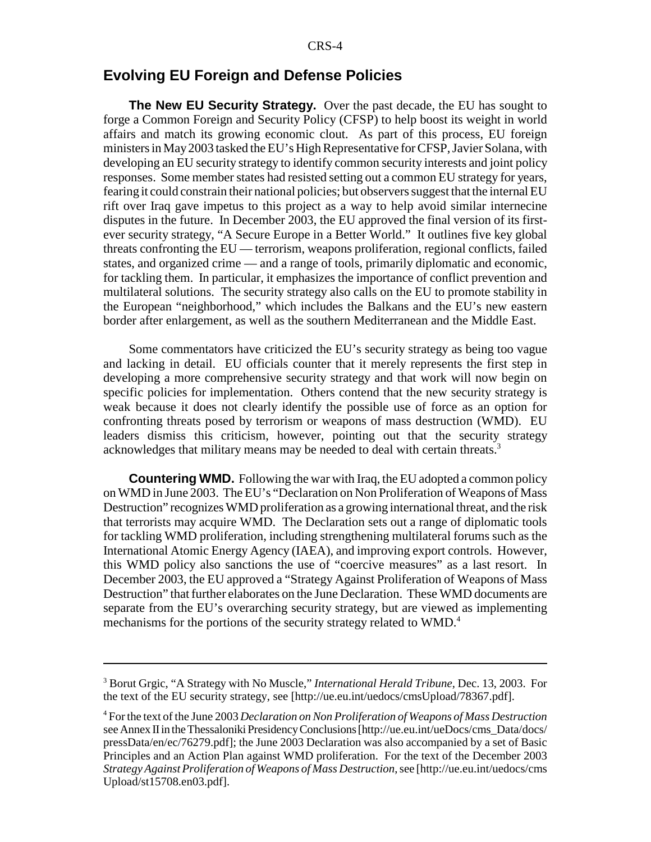#### **Evolving EU Foreign and Defense Policies**

**The New EU Security Strategy.** Over the past decade, the EU has sought to forge a Common Foreign and Security Policy (CFSP) to help boost its weight in world affairs and match its growing economic clout. As part of this process, EU foreign ministers in May 2003 tasked the EU's High Representative for CFSP, Javier Solana, with developing an EU security strategy to identify common security interests and joint policy responses. Some member states had resisted setting out a common EU strategy for years, fearing it could constrain their national policies; but observers suggest that the internal EU rift over Iraq gave impetus to this project as a way to help avoid similar internecine disputes in the future. In December 2003, the EU approved the final version of its firstever security strategy, "A Secure Europe in a Better World." It outlines five key global threats confronting the EU — terrorism, weapons proliferation, regional conflicts, failed states, and organized crime — and a range of tools, primarily diplomatic and economic, for tackling them. In particular, it emphasizes the importance of conflict prevention and multilateral solutions. The security strategy also calls on the EU to promote stability in the European "neighborhood," which includes the Balkans and the EU's new eastern border after enlargement, as well as the southern Mediterranean and the Middle East.

Some commentators have criticized the EU's security strategy as being too vague and lacking in detail. EU officials counter that it merely represents the first step in developing a more comprehensive security strategy and that work will now begin on specific policies for implementation. Others contend that the new security strategy is weak because it does not clearly identify the possible use of force as an option for confronting threats posed by terrorism or weapons of mass destruction (WMD). EU leaders dismiss this criticism, however, pointing out that the security strategy acknowledges that military means may be needed to deal with certain threats.<sup>3</sup>

**Countering WMD.** Following the war with Iraq, the EU adopted a common policy on WMD in June 2003. The EU's "Declaration on Non Proliferation of Weapons of Mass Destruction" recognizes WMD proliferation as a growing international threat, and the risk that terrorists may acquire WMD. The Declaration sets out a range of diplomatic tools for tackling WMD proliferation, including strengthening multilateral forums such as the International Atomic Energy Agency (IAEA), and improving export controls. However, this WMD policy also sanctions the use of "coercive measures" as a last resort. In December 2003, the EU approved a "Strategy Against Proliferation of Weapons of Mass Destruction" that further elaborates on the June Declaration. These WMD documents are separate from the EU's overarching security strategy, but are viewed as implementing mechanisms for the portions of the security strategy related to WMD.<sup>4</sup>

<sup>3</sup> Borut Grgic, "A Strategy with No Muscle," *International Herald Tribune*, Dec. 13, 2003. For the text of the EU security strategy, see [http://ue.eu.int/uedocs/cmsUpload/78367.pdf].

<sup>4</sup> For the text of the June 2003 *Declaration on Non Proliferation of Weapons of Mass Destruction* see Annex II in the Thessaloniki Presidency Conclusions [http://ue.eu.int/ueDocs/cms\_Data/docs/ pressData/en/ec/76279.pdf]; the June 2003 Declaration was also accompanied by a set of Basic Principles and an Action Plan against WMD proliferation. For the text of the December 2003 *Strategy Against Proliferation of Weapons of Mass Destruction*, see [http://ue.eu.int/uedocs/cms Upload/st15708.en03.pdf].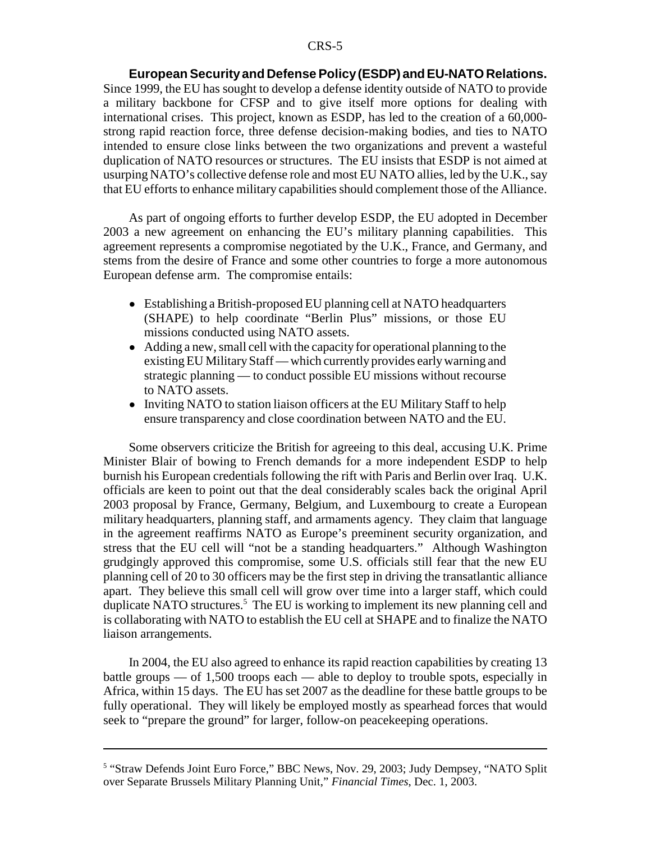**European Security and Defense Policy (ESDP) and EU-NATO Relations.** Since 1999, the EU has sought to develop a defense identity outside of NATO to provide a military backbone for CFSP and to give itself more options for dealing with international crises. This project, known as ESDP, has led to the creation of a 60,000 strong rapid reaction force, three defense decision-making bodies, and ties to NATO intended to ensure close links between the two organizations and prevent a wasteful duplication of NATO resources or structures. The EU insists that ESDP is not aimed at usurping NATO's collective defense role and most EU NATO allies, led by the U.K., say that EU efforts to enhance military capabilities should complement those of the Alliance.

As part of ongoing efforts to further develop ESDP, the EU adopted in December 2003 a new agreement on enhancing the EU's military planning capabilities. This agreement represents a compromise negotiated by the U.K., France, and Germany, and stems from the desire of France and some other countries to forge a more autonomous European defense arm. The compromise entails:

- ! Establishing a British-proposed EU planning cell at NATO headquarters (SHAPE) to help coordinate "Berlin Plus" missions, or those EU missions conducted using NATO assets.
- Adding a new, small cell with the capacity for operational planning to the existing EU Military Staff — which currently provides early warning and strategic planning — to conduct possible EU missions without recourse to NATO assets.
- Inviting NATO to station liaison officers at the EU Military Staff to help ensure transparency and close coordination between NATO and the EU.

Some observers criticize the British for agreeing to this deal, accusing U.K. Prime Minister Blair of bowing to French demands for a more independent ESDP to help burnish his European credentials following the rift with Paris and Berlin over Iraq. U.K. officials are keen to point out that the deal considerably scales back the original April 2003 proposal by France, Germany, Belgium, and Luxembourg to create a European military headquarters, planning staff, and armaments agency. They claim that language in the agreement reaffirms NATO as Europe's preeminent security organization, and stress that the EU cell will "not be a standing headquarters." Although Washington grudgingly approved this compromise, some U.S. officials still fear that the new EU planning cell of 20 to 30 officers may be the first step in driving the transatlantic alliance apart. They believe this small cell will grow over time into a larger staff, which could duplicate NATO structures.<sup>5</sup> The EU is working to implement its new planning cell and is collaborating with NATO to establish the EU cell at SHAPE and to finalize the NATO liaison arrangements.

In 2004, the EU also agreed to enhance its rapid reaction capabilities by creating 13 battle groups — of 1,500 troops each — able to deploy to trouble spots, especially in Africa, within 15 days. The EU has set 2007 as the deadline for these battle groups to be fully operational. They will likely be employed mostly as spearhead forces that would seek to "prepare the ground" for larger, follow-on peacekeeping operations.

<sup>&</sup>lt;sup>5</sup> "Straw Defends Joint Euro Force," BBC News, Nov. 29, 2003; Judy Dempsey, "NATO Split over Separate Brussels Military Planning Unit," *Financial Times*, Dec. 1, 2003.